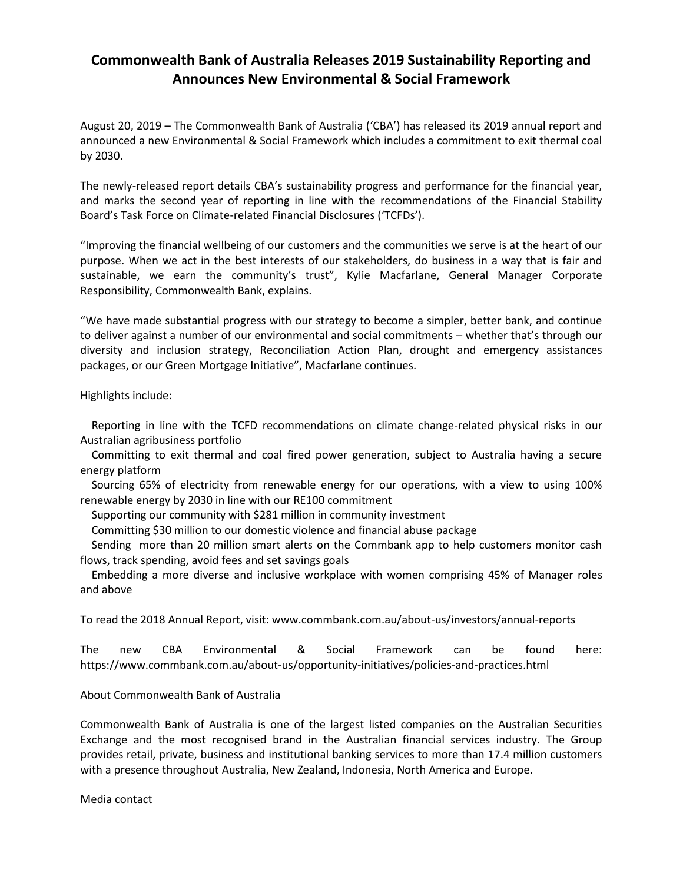## **Commonwealth Bank of Australia Releases 2019 Sustainability Reporting and Announces New Environmental & Social Framework**

August 20, 2019 – The Commonwealth Bank of Australia ('CBA') has released its 2019 annual report and announced a new Environmental & Social Framework which includes a commitment to exit thermal coal by 2030.

The newly-released report details CBA's sustainability progress and performance for the financial year, and marks the second year of reporting in line with the recommendations of the Financial Stability Board's Task Force on Climate-related Financial Disclosures ('TCFDs').

"Improving the financial wellbeing of our customers and the communities we serve is at the heart of our purpose. When we act in the best interests of our stakeholders, do business in a way that is fair and sustainable, we earn the community's trust", Kylie Macfarlane, General Manager Corporate Responsibility, Commonwealth Bank, explains.

"We have made substantial progress with our strategy to become a simpler, better bank, and continue to deliver against a number of our environmental and social commitments – whether that's through our diversity and inclusion strategy, Reconciliation Action Plan, drought and emergency assistances packages, or our Green Mortgage Initiative", Macfarlane continues.

Highlights include:

 Reporting in line with the TCFD recommendations on climate change-related physical risks in our Australian agribusiness portfolio

 Committing to exit thermal and coal fired power generation, subject to Australia having a secure energy platform

 Sourcing 65% of electricity from renewable energy for our operations, with a view to using 100% renewable energy by 2030 in line with our RE100 commitment

Supporting our community with \$281 million in community investment

Committing \$30 million to our domestic violence and financial abuse package

 Sending more than 20 million smart alerts on the Commbank app to help customers monitor cash flows, track spending, avoid fees and set savings goals

 Embedding a more diverse and inclusive workplace with women comprising 45% of Manager roles and above

To read the 2018 Annual Report, visit: www.commbank.com.au/about-us/investors/annual-reports

The new CBA Environmental & Social Framework can be found here: https://www.commbank.com.au/about-us/opportunity-initiatives/policies-and-practices.html

About Commonwealth Bank of Australia

Commonwealth Bank of Australia is one of the largest listed companies on the Australian Securities Exchange and the most recognised brand in the Australian financial services industry. The Group provides retail, private, business and institutional banking services to more than 17.4 million customers with a presence throughout Australia, New Zealand, Indonesia, North America and Europe.

Media contact